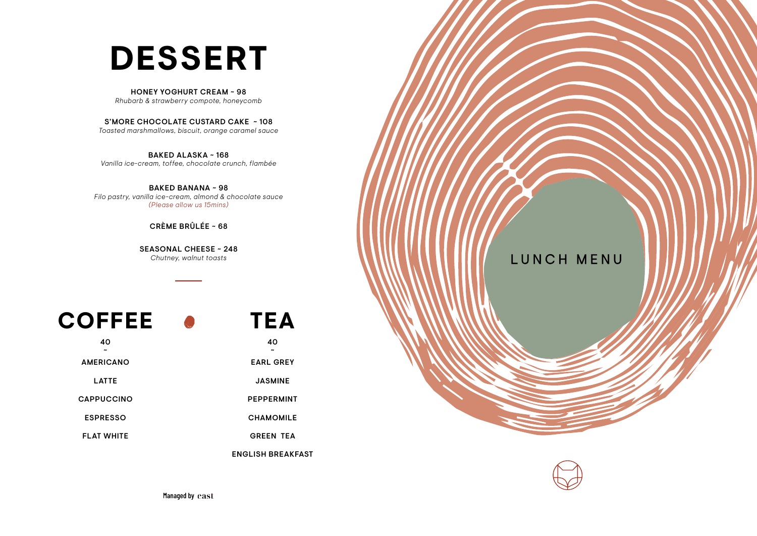## **DESSERT**

#### HONEY YOGHURT CREAM ~ 98

*Rhubarb & strawberry compote, honeycomb*

#### S'MORE CHOCOLATE CUSTARD CAKE ~ 108

*Toasted marshmallows, biscuit, orange caramel sauce*

#### BAKED ALASKA ~ 168*Vanilla ice-cream, toffee, chocolate crunch, flambée*

BAKED BANANA ~ 98 *Filo pastry, vanilla ice-cream, almond & chocolate sauce(Please allow us 15mins)*

#### CRÈME BRÛLÉE ~ 68

SEASONAL CHEESE ~ 248*Chutney, walnut toasts*

### **COFFEE**

|  | ΓΕΑ |
|--|-----|
|  | ⊿∩  |

~EARL GREY

JASMINE

40~AMERICANOLATTECAPPUCCINO PEPPERMINT ESPRESSOFLAT WHITE

CHAMOMILE

GREEN TEA

ENGLISH BREAKFAST



Managed by east